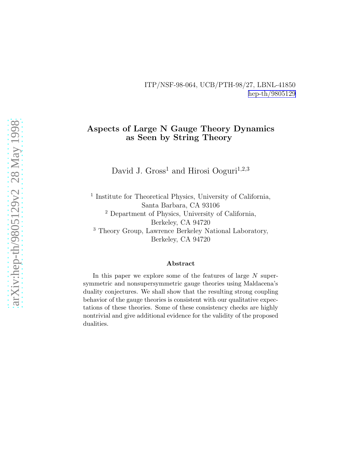#### ITP/NSF-98-064, UCB/PTH-98/27, LBNL-41850 [hep-th/9805129](http://arXiv.org/abs/hep-th/9805129)

#### Aspects of Large N Gauge Theory Dynamics as Seen by String Theory

David J. Gross<sup>1</sup> and Hirosi Ooguri<sup>1,2,3</sup>

<sup>1</sup> Institute for Theoretical Physics, University of California, Santa Barbara, CA 93106 <sup>2</sup> Department of Physics, University of California, Berkeley, CA 94720 <sup>3</sup> Theory Group, Lawrence Berkeley National Laboratory, Berkeley, CA 94720

#### Abstract

In this paper we explore some of the features of large N supersymmetric and nonsupersymmetric gauge theories using Maldacena's duality conjectures. We shall show that the resulting strong coupling behavior of the gauge theories is consistent with our qualitative expectations of these theories. Some of these consistency checks are highly nontrivial and give additional evidence for the validity of the proposed dualities.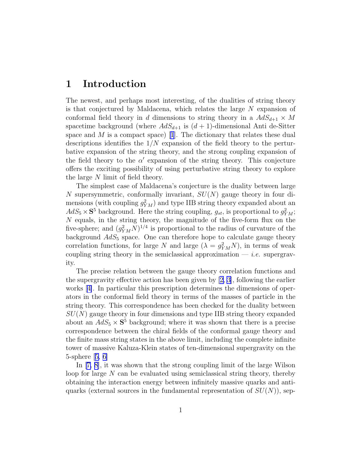### 1 Introduction

The newest, and perhaps most interesting, of the dualities of string theory is that conjectured by Maldacena, which relates the large N expansion of conformal field theory in d dimensions to string theory in a  $AdS_{d+1} \times M$ spacetime background (where  $AdS_{d+1}$  is  $(d+1)$ -dimensional Anti de-Sitter spaceand  $M$  is a compact space) [[1](#page-29-0)]. The dictionary that relates these dual descriptions identifies the  $1/N$  expansion of the field theory to the perturbative expansion of the string theory, and the strong coupling expansion of the field theory to the  $\alpha'$  expansion of the string theory. This conjecture offers the exciting possibility of using perturbative string theory to explore the large N limit of field theory.

The simplest case of Maldacena's conjecture is the duality between large N supersymmetric, conformally invariant,  $SU(N)$  gauge theory in four dimensions (with coupling  $g_{YM}^2$ ) and type IIB string theory expanded about an  $AdS_5 \times S^5$  background. Here the string coupling,  $g_{st}$ , is proportional to  $g_{YM}^2$ ; N equals, in the string theory, the magnitude of the five-form flux on the five-sphere; and  $(g_{YM}^2 N)^{1/4}$  is proportional to the radius of curvature of the background  $AdS_5$  space. One can therefore hope to calculate gauge theory correlation functions, for large N and large  $(\lambda = g_{YM}^2 N)$ , in terms of weak coupling string theory in the semiclassical approximation  $\frac{d}{dx}$ . supergravity.

The precise relation between the gauge theory correlation functions and the supergravity effective action has been given by [\[2, 3](#page-29-0)], following the earlier works[[4\]](#page-29-0). In particular this prescription determines the dimensions of operators in the conformal field theory in terms of the masses of particle in the string theory. This correspondence has been checked for the duality between  $SU(N)$  gauge theory in four dimensions and type IIB string theory expanded about an  $AdS_5 \times S^5$  background; where it was shown that there is a precise correspondence between the chiral fields of the conformal gauge theory and the finite mass string states in the above limit, including the complete infinite tower of massive Kaluza-Klein states of ten-dimensional supergravity on the 5-sphere[[5, 6\]](#page-29-0)

In[[7, 8\]](#page-29-0), it was shown that the strong coupling limit of the large Wilson loop for large  $N$  can be evaluated using semiclassical string theory, thereby obtaining the interaction energy between infinitely massive quarks and antiquarks (external sources in the fundamental representation of  $SU(N)$ ), sep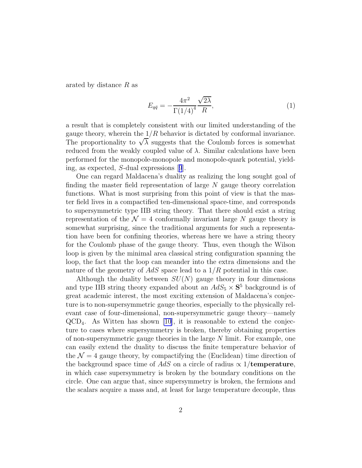arated by distance R as

$$
E_{q\bar{q}} = -\frac{4\pi^2}{\Gamma(1/4)^4} \frac{\sqrt{2\lambda}}{R},\tag{1}
$$

a result that is completely consistent with our limited understanding of the gauge theory, wherein the  $1/R$  behavior is dictated by conformal invariance. The proportionality to  $\sqrt{\lambda}$  suggests that the Coulomb forces is somewhat reduced from the weakly coupled value of  $\lambda$ . Similar calculations have been performed for the monopole-monopole and monopole-quark potential, yielding, as expected, S-dual expressions[[9](#page-29-0)].

One can regard Maldacena's duality as realizing the long sought goal of finding the master field representation of large  $N$  gauge theory correlation functions. What is most surprising from this point of view is that the master field lives in a compactified ten-dimensional space-time, and corresponds to supersymmetric type IIB string theory. That there should exist a string representation of the  $\mathcal{N} = 4$  conformally invariant large N gauge theory is somewhat surprising, since the traditional arguments for such a representation have been for confining theories, whereas here we have a string theory for the Coulomb phase of the gauge theory. Thus, even though the Wilson loop is given by the minimal area classical string configuration spanning the loop, the fact that the loop can meander into the extra dimensions and the nature of the geometry of  $AdS$  space lead to a  $1/R$  potential in this case.

Although the duality between  $SU(N)$  gauge theory in four dimensions and type IIB string theory expanded about an  $AdS_5 \times S^5$  background is of great academic interest, the most exciting extension of Maldacena's conjecture is to non-supersymmetric gauge theories, especially to the physically relevant case of four-dimensional, non-supersymmetric gauge theory—namely  $QCD<sub>4</sub>$ . As Witten has shown [\[10](#page-29-0)], it is reasonable to extend the conjecture to cases where supersymmetry is broken, thereby obtaining properties of non-supersymmetric gauge theories in the large  $N$  limit. For example, one can easily extend the duality to discuss the finite temperature behavior of the  $\mathcal{N} = 4$  gauge theory, by compactifying the (Euclidean) time direction of the background space time of AdS on a circle of radius  $\propto 1/\text{temperature}$ , in which case supersymmetry is broken by the boundary conditions on the circle. One can argue that, since supersymmetry is broken, the fermions and the scalars acquire a mass and, at least for large temperature decouple, thus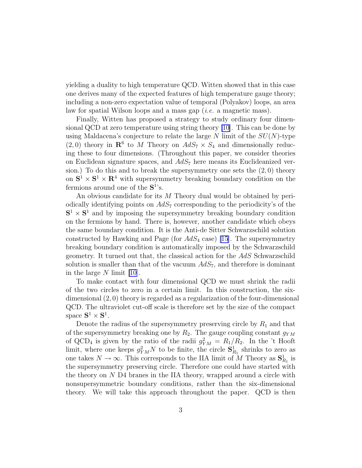yielding a duality to high temperature QCD. Witten showed that in this case one derives many of the expected features of high temperature gauge theory; including a non-zero expectation value of temporal (Polyakov) loops, an area law for spatial Wilson loops and a mass gap (i.e. a magnetic mass).

Finally, Witten has proposed a strategy to study ordinary four dimensional QCD at zero temperature using string theory [\[10](#page-29-0)]. This can be done by using Maldacena's conjecture to relate the large  $N$  limit of the  $SU(N)$ -type  $(2,0)$  theory in  $\mathbb{R}^6$  to M Theory on  $AdS_7 \times S_4$  and dimensionally reducing these to four dimensions. (Throughout this paper, we consider theories on Euclidean signature spaces, and  $AdS_7$  here means its Euclideanized version.) To do this and to break the supersymmetry one sets the  $(2,0)$  theory on  $S^1 \times S^1 \times \mathbb{R}^4$  with supersymmetry breaking boundary condition on the fermions around one of the  $S^1$ 's.

An obvious candidate for its M Theory dual would be obtained by periodically identifying points on  $AdS_7$  corresponding to the periodicity's of the  $S^1 \times S^1$  and by imposing the supersymmetry breaking boundary condition on the fermions by hand. There is, however, another candidate which obeys the same boundary condition. It is the Anti-de Sitter Schwarzschild solution constructed by Hawking and Page (for  $AdS_4$  case) [\[15\]](#page-29-0). The supersymmetry breaking boundary condition is automatically imposed by the Schwarzschild geometry. It turned out that, the classical action for the AdS Schwarzschild solution is smaller than that of the vacuum  $AdS_7$ , and therefore is dominant in the large N limit [\[10](#page-29-0)].

To make contact with four dimensional QCD we must shrink the radii of the two circles to zero in a certain limit. In this construction, the sixdimensional (2, 0) theory is regarded as a regularization of the four-dimensional QCD. The ultraviolet cut-off scale is therefore set by the size of the compact space  $S^1 \times S^1$ .

Denote the radius of the supersymmetry preserving circle by  $R_1$  and that of the supersymmetry breaking one by  $R_2$ . The gauge coupling constant  $g_{YM}$ of QCD<sub>4</sub> is given by the ratio of the radii  $g_{YM}^2 = R_1/R_2$ . In the 't Hooft limit, where one keeps  $g_{YM}^2 N$  to be finite, the circle  $S_{R_1}^1$  shrinks to zero as one takes  $N \to \infty$ . This corresponds to the IIA limit of M Theory as  $S^1_{R_1}$  is the supersymmetry preserving circle. Therefore one could have started with the theory on  $N$  D4 branes in the IIA theory, wrapped around a circle with nonsupersymmetric boundary conditions, rather than the six-dimensional theory. We will take this approach throughout the paper. QCD is then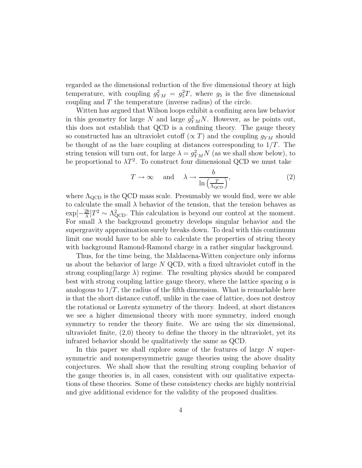regarded as the dimensional reduction of the five dimensional theory at high temperature, with coupling  $g_{YM}^2 = g_5^2 T$ , where  $g_5$  is the five dimensional coupling and T the temperature (inverse radius) of the circle.

Witten has argued that Wilson loops exhibit a confining area law behavior in this geometry for large N and large  $g_{YM}^2 N$ . However, as he points out, this does not establish that QCD is a confining theory. The gauge theory so constructed has an ultraviolet cutoff ( $\propto T$ ) and the coupling  $g_{YM}$  should be thought of as the bare coupling at distances corresponding to  $1/T$ . The string tension will turn out, for large  $\lambda = g_{YM}^2 N$  (as we shall show below), to be proportional to  $\lambda T^2$ . To construct four dimensional QCD we must take

$$
T \to \infty \quad \text{and} \quad \lambda \to \frac{b}{\ln\left(\frac{T}{\Lambda_{\text{QCD}}}\right)},\tag{2}
$$

where  $\Lambda_{\text{QCD}}$  is the QCD mass scale. Presumably we would find, were we able to calculate the small  $\lambda$  behavior of the tension, that the tension behaves as  $\exp[-\frac{2b}{\lambda}]$  $\frac{2b}{\lambda}$   $T^2 \sim \Lambda_{\text{QCD}}^2$ . This calculation is beyond our control at the moment. For small  $\lambda$  the background geometry develops singular behavior and the supergravity approximation surely breaks down. To deal with this continuum limit one would have to be able to calculate the properties of string theory with background Ramond-Ramond charge in a rather singular background.

Thus, for the time being, the Maldacena-Witten conjecture only informs us about the behavior of large  $N$  QCD, with a fixed ultraviolet cutoff in the strong coupling(large  $\lambda$ ) regime. The resulting physics should be compared best with strong coupling lattice gauge theory, where the lattice spacing  $a$  is analogous to  $1/T$ , the radius of the fifth dimension. What is remarkable here is that the short distance cutoff, unlike in the case of lattice, does not destroy the rotational or Lorentz symmetry of the theory. Indeed, at short distances we see a higher dimensional theory with more symmetry, indeed enough symmetry to render the theory finite. We are using the six dimensional, ultraviolet finite, (2,0) theory to define the theory in the ultraviolet, yet its infrared behavior should be qualitatively the same as QCD.

In this paper we shall explore some of the features of large  $N$  supersymmetric and nonsupersymmetric gauge theories using the above duality conjectures. We shall show that the resulting strong coupling behavior of the gauge theories is, in all cases, consistent with our qualitative expectations of these theories. Some of these consistency checks are highly nontrivial and give additional evidence for the validity of the proposed dualities.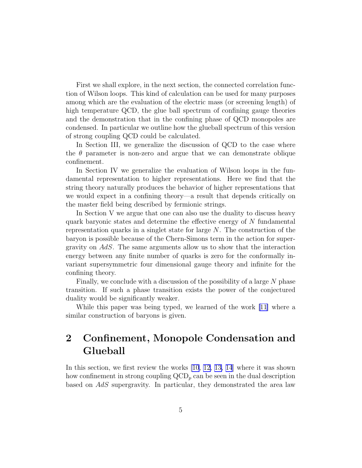First we shall explore, in the next section, the connected correlation function of Wilson loops. This kind of calculation can be used for many purposes among which are the evaluation of the electric mass (or screening length) of high temperature QCD, the glue ball spectrum of confining gauge theories and the demonstration that in the confining phase of QCD monopoles are condensed. In particular we outline how the glueball spectrum of this version of strong coupling QCD could be calculated.

In Section III, we generalize the discussion of QCD to the case where the  $\theta$  parameter is non-zero and argue that we can demonstrate oblique confinement.

In Section IV we generalize the evaluation of Wilson loops in the fundamental representation to higher representations. Here we find that the string theory naturally produces the behavior of higher representations that we would expect in a confining theory—a result that depends critically on the master field being described by fermionic strings.

In Section V we argue that one can also use the duality to discuss heavy quark baryonic states and determine the effective energy of N fundamental representation quarks in a singlet state for large N. The construction of the baryon is possible because of the Chern-Simons term in the action for supergravity on AdS. The same arguments allow us to show that the interaction energy between any finite number of quarks is zero for the conformally invariant supersymmetric four dimensional gauge theory and infinite for the confining theory.

Finally, we conclude with a discussion of the possibility of a large N phase transition. If such a phase transition exists the power of the conjectured duality would be significantly weaker.

While this paper was being typed, we learned of the work [\[11\]](#page-29-0) where a similar construction of baryons is given.

# 2 Confinement, Monopole Condensation and Glueball

In this section, we first review the works [\[10](#page-29-0), [12, 13, 14](#page-29-0)] where it was shown how confinement in strong coupling  $\text{QCD}_p$  can be seen in the dual description based on AdS supergravity. In particular, they demonstrated the area law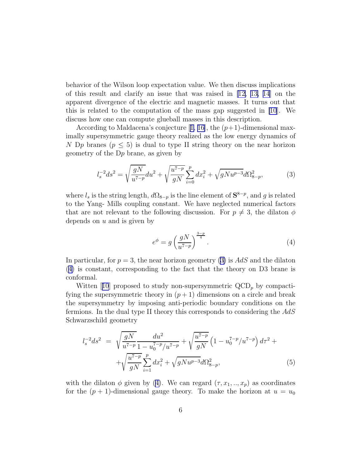<span id="page-6-0"></span>behavior of the Wilson loop expectation value. We then discuss implications of this result and clarify an issue that was raised in [\[12, 13,](#page-29-0) [14](#page-29-0)] on the apparent divergence of the electric and magnetic masses. It turns out that this is related to the computation of the mass gap suggested in [\[10](#page-29-0)]. We discuss how one can compute glueball masses in this description.

Accordingto Maldacena's conjecture [[1, 16\]](#page-29-0), the  $(p+1)$ -dimensional maximally supersymmetric gauge theory realized as the low energy dynamics of N Dp branes ( $p \leq 5$ ) is dual to type II string theory on the near horizon geometry of the Dp brane, as given by

$$
l_s^{-2}ds^2 = \sqrt{\frac{gN}{u^{7-p}}}du^2 + \sqrt{\frac{u^{7-p}}{gN}} \sum_{i=0}^p dx_i^2 + \sqrt{gNu^{p-3}}d\Omega_{8-p}^2,
$$
 (3)

where  $l_s$  is the string length,  $d\Omega_{8-p}$  is the line element of  $S^{8-p}$ , and g is related to the Yang- Mills coupling constant. We have neglected numerical factors that are not relevant to the following discussion. For  $p \neq 3$ , the dilaton  $\phi$ depends on  $u$  and is given by

$$
e^{\phi} = g \left(\frac{gN}{u^{7-p}}\right)^{\frac{3-p}{4}}.\tag{4}
$$

In particular, for  $p = 3$ , the near horizon geometry (3) is AdS and the dilaton (4) is constant, corresponding to the fact that the theory on D3 brane is conformal.

Witten[[10](#page-29-0)] proposed to study non-supersymmetric  $\text{QCD}_p$  by compactifying the supersymmetric theory in  $(p+1)$  dimensions on a circle and break the supersymmetry by imposing anti-periodic boundary conditions on the fermions. In the dual type II theory this corresponds to considering the AdS Schwarzschild geometry

$$
l_s^{-2}ds^2 = \sqrt{\frac{gN}{u^{7-p}}}\frac{du^2}{1-u_0^{7-p}/u^{7-p}} + \sqrt{\frac{u^{7-p}}{gN}}\left(1-u_0^{7-p}/u^{7-p}\right)d\tau^2 + \sqrt{\frac{u^{7-p}}{gN}}\sum_{i=1}^p dx_i^2 + \sqrt{gN u^{p-3}}d\Omega_{8-p}^2,
$$
\n(5)

with the dilaton  $\phi$  given by (4). We can regard  $(\tau, x_1, ..., x_p)$  as coordinates for the  $(p + 1)$ -dimensional gauge theory. To make the horizon at  $u = u_0$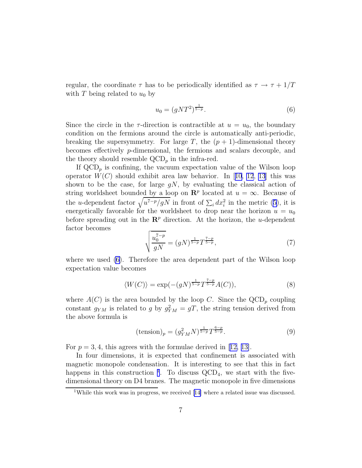regular, the coordinate  $\tau$  has to be periodically identified as  $\tau \to \tau + 1/T$ with T being related to  $u_0$  by

$$
u_0 = (gNT^2)^{\frac{1}{5-p}}.\t\t(6)
$$

Since the circle in the  $\tau$ -direction is contractible at  $u = u_0$ , the boundary condition on the fermions around the circle is automatically anti-periodic, breaking the supersymmetry. For large T, the  $(p + 1)$ -dimensional theory becomes effectively p-dimensional, the fermions and scalars decouple, and the theory should resemble  $\text{QCD}_p$  in the infra-red.

If  $\text{QCD}_p$  is confining, the vacuum expectation value of the Wilson loop operator $W(C)$  should exhibit area law behavior. In [[10](#page-29-0), [12](#page-29-0), [13](#page-29-0)] this was shown to be the case, for large  $qN$ , by evaluating the classical action of string worldsheet bounded by a loop on  $\mathbb{R}^p$  located at  $u = \infty$ . Because of theu-dependent factor  $\sqrt{u^{7-p}/gN}$  in front of  $\sum_i dx_i^2$  in the metric ([5\)](#page-6-0), it is energetically favorable for the worldsheet to drop near the horizon  $u = u_0$ before spreading out in the  $\mathbb{R}^p$  direction. At the horizon, the u-dependent factor becomes

$$
\sqrt{\frac{u_0^{7-p}}{gN}} = (gN)^{\frac{1}{5-p}} T^{\frac{7-p}{5-p}},\tag{7}
$$

where we used (6). Therefore the area dependent part of the Wilson loop expectation value becomes

$$
\langle W(C) \rangle = \exp(-(gN)^{\frac{1}{5-p}} T^{\frac{7-p}{5-p}} A(C)), \tag{8}
$$

where  $A(C)$  is the area bounded by the loop C. Since the  $\text{QCD}_p$  coupling constant  $g_{YM}$  is related to g by  $g_{YM}^2 = gT$ , the string tension derived from the above formula is

$$
(\text{tension})_p = (g_{YM}^2 N)^{\frac{1}{5-p}} T^{\frac{6-p}{5-p}}.
$$
\n(9)

For $p = 3, 4$ , this agrees with the formulae derived in [[12, 13\]](#page-29-0).

In four dimensions, it is expected that confinement is associated with magnetic monopole condensation. It is interesting to see that this in fact happens in this construction <sup>1</sup>. To discuss  $\text{QCD}_4$ , we start with the fivedimensional theory on D4 branes. The magnetic monopole in five dimensions

<sup>&</sup>lt;sup>1</sup>Whilethis work was in progress, we received [[14\]](#page-29-0) where a related issue was discussed.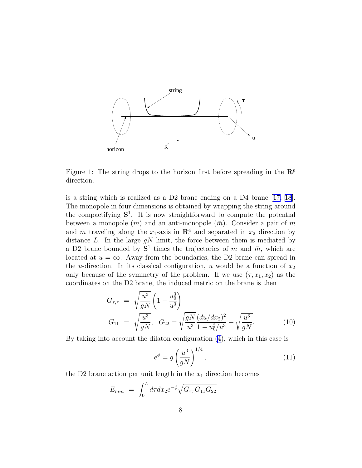<span id="page-8-0"></span>

Figure 1: The string drops to the horizon first before spreading in the  $\mathbb{R}^p$ direction.

is a string which is realized as a D2 brane ending on a D4 brane[[17, 18](#page-29-0)]. The monopole in four dimensions is obtained by wrapping the string around the compactifying  $S^1$ . It is now straightforward to compute the potential between a monopole  $(m)$  and an anti-monopole  $(\bar{m})$ . Consider a pair of m and  $\bar{m}$  traveling along the  $x_1$ -axis in  $\mathbb{R}^4$  and separated in  $x_2$  direction by distance  $L$ . In the large  $gN$  limit, the force between them is mediated by a D2 brane bounded by  $S^1$  times the trajectories of m and  $\bar{m}$ , which are located at  $u = \infty$ . Away from the boundaries, the D2 brane can spread in the *u*-direction. In its classical configuration, *u* would be a function of  $x_2$ only because of the symmetry of the problem. If we use  $(\tau, x_1, x_2)$  as the coordinates on the D2 brane, the induced metric on the brane is then

$$
G_{\tau,\tau} = \sqrt{\frac{u^3}{gN}} \left( 1 - \frac{u_0^3}{u^3} \right)
$$
  
\n
$$
G_{11} = \sqrt{\frac{u^3}{gN}}, \quad G_{22} = \sqrt{\frac{gN}{u^3}} \frac{(du/dx_2)^2}{1 - u_0^3/u^3} + \sqrt{\frac{u^3}{gN}}.
$$
\n(10)

By taking into account the dilaton configuration [\(4](#page-6-0)), which in this case is

$$
e^{\phi} = g \left(\frac{u^3}{gN}\right)^{1/4},\tag{11}
$$

the D2 brane action per unit length in the  $x_1$  direction becomes

$$
E_{m\bar{m}} = \int_0^L d\tau dx_2 e^{-\phi} \sqrt{G_{\tau\tau} G_{11} G_{22}}
$$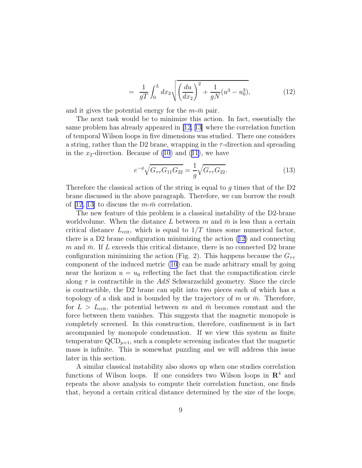$$
= \frac{1}{gT} \int_0^L dx_2 \sqrt{\left(\frac{du}{dx_2}\right)^2 + \frac{1}{gN}(u^3 - u_0^3)},\tag{12}
$$

and it gives the potential energy for the  $m\text{-}m$  pair.

The next task would be to minimize this action. In fact, essentially the same problem has already appeared in [\[12](#page-29-0), [13](#page-29-0)] where the correlation function of temporal Wilson loops in five dimensions was studied. There one considers a string, rather than the D2 brane, wrapping in the  $\tau$ -direction and spreading inthe  $x_2$ -direction. Because of [\(10](#page-8-0)) and ([11\)](#page-8-0), we have

$$
e^{-\phi}\sqrt{G_{\tau\tau}G_{11}G_{22}} = \frac{1}{g}\sqrt{G_{\tau\tau}G_{22}}.\tag{13}
$$

Therefore the classical action of the string is equal to g times that of the  $D2$ brane discussed in the above paragraph. Therefore, we can borrow the result of[[12, 13\]](#page-29-0) to discuss the  $m\text{-}\bar{m}$  correlation.

The new feature of this problem is a classical instability of the D2-brane worldvolume. When the distance L between m and  $\bar{m}$  is less than a certain critical distance  $L_{\text{crit}}$ , which is equal to  $1/T$  times some numerical factor, there is a D2 brane configuration minimizing the action([12\)](#page-8-0) and connecting m and  $\bar{m}$ . If L exceeds this critical distance, there is no connected D2 brane configuration minimizing the action (Fig. 2). This happens because the  $G_{\tau\tau}$ component of the induced metric [\(10](#page-8-0)) can be made arbitrary small by going near the horizon  $u = u_0$  reflecting the fact that the compactification circle along  $\tau$  is contractible in the AdS Schwarzschild geometry. Since the circle is contractible, the D2 brane can split into two pieces each of which has a topology of a disk and is bounded by the trajectory of m or  $\bar{m}$ . Therefore, for  $L > L_{\text{crit}}$ , the potential between m and  $\bar{m}$  becomes constant and the force between them vanishes. This suggests that the magnetic monopole is completely screened. In this construction, therefore, confinement is in fact accompanied by monopole condensation. If we view this system as finite temperature  $\text{QCD}_{p+1}$ , such a complete screening indicates that the magnetic mass is infinite. This is somewhat puzzling and we will address this issue later in this section.

A similar classical instability also shows up when one studies correlation functions of Wilson loops. If one considers two Wilson loops in  $\mathbb{R}^4$  and repeats the above analysis to compute their correlation function, one finds that, beyond a certain critical distance determined by the size of the loops,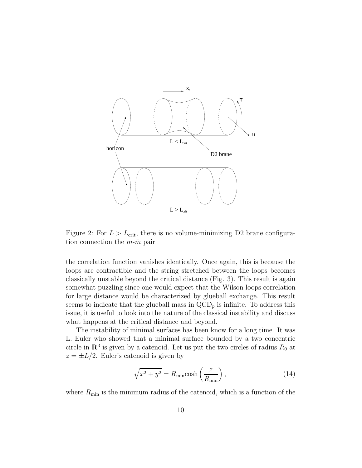

Figure 2: For  $L > L_{\text{crit}}$ , there is no volume-minimizing D2 brane configuration connection the  $m-\bar{m}$  pair

the correlation function vanishes identically. Once again, this is because the loops are contractible and the string stretched between the loops becomes classically unstable beyond the critical distance (Fig. 3). This result is again somewhat puzzling since one would expect that the Wilson loops correlation for large distance would be characterized by glueball exchange. This result seems to indicate that the glueball mass in  $\text{QCD}_p$  is infinite. To address this issue, it is useful to look into the nature of the classical instability and discuss what happens at the critical distance and beyond.

The instability of minimal surfaces has been know for a long time. It was L. Euler who showed that a minimal surface bounded by a two concentric circle in  $\mathbb{R}^3$  is given by a catenoid. Let us put the two circles of radius  $R_0$  at  $z = \pm L/2$ . Euler's catenoid is given by

$$
\sqrt{x^2 + y^2} = R_{\min}\cosh\left(\frac{z}{R_{\min}}\right),\tag{14}
$$

where  $R_{\rm min}$  is the minimum radius of the catenoid, which is a function of the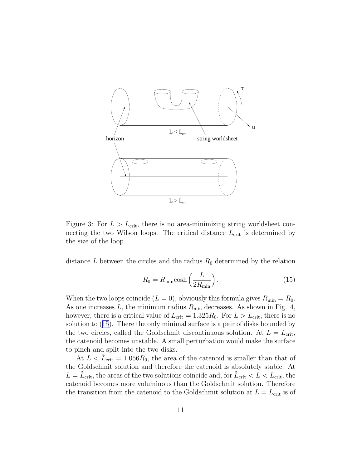

Figure 3: For  $L > L_{\text{crit}}$ , there is no area-minimizing string worldsheet connecting the two Wilson loops. The critical distance  $L_{\text{crit}}$  is determined by the size of the loop.

distance L between the circles and the radius  $R_0$  determined by the relation

$$
R_0 = R_{\min} \cosh\left(\frac{L}{2R_{\min}}\right). \tag{15}
$$

When the two loops coincide  $(L = 0)$ , obviously this formula gives  $R_{\min} = R_0$ . As one increases  $L$ , the minimum radius  $R_{\text{min}}$  decreases. As shown in Fig. 4, however, there is a critical value of  $L_{\text{crit}} = 1.325R_0$ . For  $L > L_{\text{crit}}$ , there is no solution to (15). There the only minimal surface is a pair of disks bounded by the two circles, called the Goldschmit discontinuous solution. At  $L = L_{\rm crit}$ , the catenoid becomes unstable. A small perturbation would make the surface to pinch and split into the two disks.

At  $L < \tilde{L}_{\rm crit} = 1.056 R_0$ , the area of the catenoid is smaller than that of the Goldschmit solution and therefore the catenoid is absolutely stable. At  $L = \tilde{L}_{\rm crit}$ , the areas of the two solutions coincide and, for  $\tilde{L}_{\rm crit} < L < L_{\rm crit}$ , the catenoid becomes more voluminous than the Goldschmit solution. Therefore the transition from the catenoid to the Goldschmit solution at  $L = L_{\text{crit}}$  is of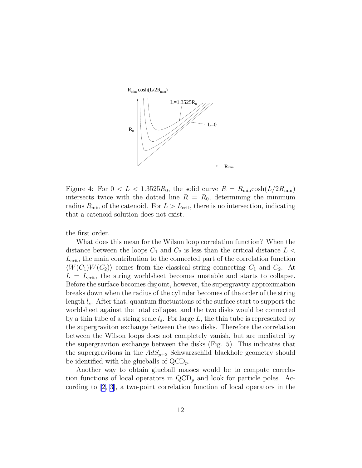

Figure 4: For  $0 < L < 1.3525R_0$ , the solid curve  $R = R_{\text{min}} \cosh(L/2R_{\text{min}})$ intersects twice with the dotted line  $R = R_0$ , determining the minimum radius  $R_{\text{min}}$  of the catenoid. For  $L > L_{\text{crit}}$ , there is no intersection, indicating that a catenoid solution does not exist.

the first order.

What does this mean for the Wilson loop correlation function? When the distance between the loops  $C_1$  and  $C_2$  is less than the critical distance  $L <$  $L_{\text{crit}}$ , the main contribution to the connected part of the correlation function  $\langle W(C_1)W(C_2)\rangle$  comes from the classical string connecting  $C_1$  and  $C_2$ . At  $L = L_{\text{crit}}$ , the string worldsheet becomes unstable and starts to collapse. Before the surface becomes disjoint, however, the supergravity approximation breaks down when the radius of the cylinder becomes of the order of the string length  $l_s$ . After that, quantum fluctuations of the surface start to support the worldsheet against the total collapse, and the two disks would be connected by a thin tube of a string scale  $l_s$ . For large L, the thin tube is represented by the supergraviton exchange between the two disks. Therefore the correlation between the Wilson loops does not completely vanish, but are mediated by the supergraviton exchange between the disks (Fig. 5). This indicates that the supergravitons in the  $AdS_{p+2}$  Schwarzschild blackhole geometry should be identified with the glueballs of  $\text{QCD}_p$ .

Another way to obtain glueball masses would be to compute correlation functions of local operators in  $\text{QCD}_p$  and look for particle poles. According to [\[2](#page-29-0), [3](#page-29-0)], a two-point correlation function of local operators in the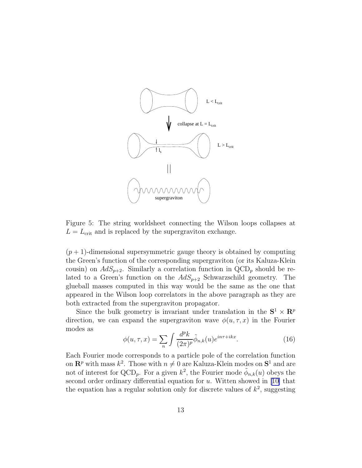

Figure 5: The string worldsheet connecting the Wilson loops collapses at  $L = L_{\text{crit}}$  and is replaced by the supergraviton exchange.

 $(p+1)$ -dimensional supersymmetric gauge theory is obtained by computing the Green's function of the corresponding supergraviton (or its Kaluza-Klein cousin) on  $AdS_{p+2}$ . Similarly a correlation function in QCD<sub>p</sub> should be related to a Green's function on the  $AdS_{p+2}$  Schwarzschild geometry. The glueball masses computed in this way would be the same as the one that appeared in the Wilson loop correlators in the above paragraph as they are both extracted from the supergraviton propagator.

Since the bulk geometry is invariant under translation in the  $S^1 \times R^p$ direction, we can expand the supergraviton wave  $\phi(u, \tau, x)$  in the Fourier modes as

$$
\phi(u,\tau,x) = \sum_{n} \int \frac{d^p k}{(2\pi)^p} \tilde{\phi}_{n,k}(u) e^{in\tau + ikx}.
$$
 (16)

Each Fourier mode corresponds to a particle pole of the correlation function on  $\mathbb{R}^p$  with mass  $k^2$ . Those with  $n \neq 0$  are Kaluza-Klein modes on  $\mathbb{S}^1$  and are not of interest for QCD<sub>p</sub>. For a given  $k^2$ , the Fourier mode  $\tilde{\phi}_{n,k}(u)$  obeys the secondorder ordinary differential equation for  $u$ . Witten showed in [[10\]](#page-29-0) that the equation has a regular solution only for discrete values of  $k^2$ , suggesting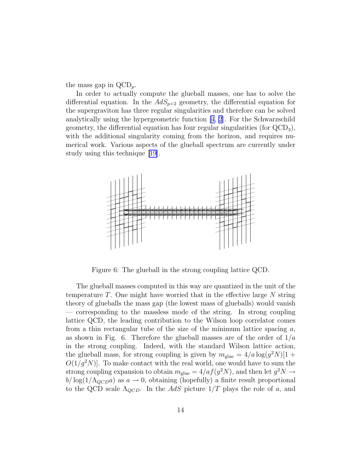the mass gap in  $\text{QCD}_p$ .

In order to actually compute the glueball masses, one has to solve the differential equation. In the  $AdS_{p+2}$  geometry, the differential equation for the supergraviton has three regular singularities and therefore can be solved analytically using the hypergeometric function  $[4, 2]$  $[4, 2]$  $[4, 2]$ . For the Schwarzschild geometry, the differential equation has four regular singularities (for  $\text{QCD}_3$ ), with the additional singularity coming from the horizon, and requires numerical work. Various aspects of the glueball spectrum are currently under study using this technique[[19\]](#page-30-0).



Figure 6: The glueball in the strong coupling lattice QCD.

The glueball masses computed in this way are quantized in the unit of the temperature  $T$ . One might have worried that in the effective large  $N$  string theory of glueballs the mass gap (the lowest mass of glueballs) would vanish — corresponding to the massless mode of the string. In strong coupling lattice QCD, the leading contribution to the Wilson loop correlator comes from a thin rectangular tube of the size of the minimum lattice spacing  $a$ , as shown in Fig. 6. Therefore the glueball masses are of the order of  $1/a$ in the strong coupling. Indeed, with the standard Wilson lattice action, the glueball mass, for strong coupling is given by  $m_{\text{glue}} = 4/a \log(g^2 N)[1 +$  $O(1/g^2N)$ . To make contact with the real world, one would have to sum the strong coupling expansion to obtain  $m_{\text{glue}} = 4/a f(g^2 N)$ , and then let  $g^2 N \rightarrow$  $b/\log(1/\Lambda_{QCD}a)$  as  $a \to 0$ , obtaining (hopefully) a finite result proportional to the QCD scale  $\Lambda_{QCD}$ . In the AdS picture  $1/T$  plays the role of a, and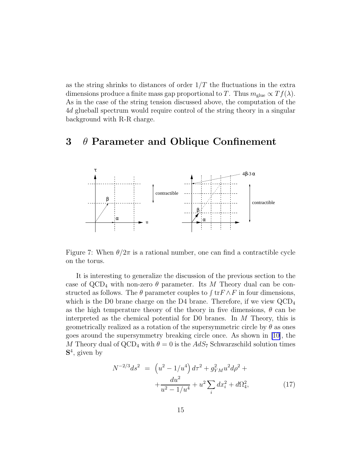as the string shrinks to distances of order  $1/T$  the fluctuations in the extra dimensions produce a finite mass gap proportional to T. Thus  $m_{\text{glue}} \propto Tf(\lambda)$ . As in the case of the string tension discussed above, the computation of the 4d glueball spectrum would require control of the string theory in a singular background with R-R charge.

# 3  $\theta$  Parameter and Oblique Confinement



Figure 7: When  $\theta/2\pi$  is a rational number, one can find a contractible cycle on the torus.

It is interesting to generalize the discussion of the previous section to the case of  $QCD_4$  with non-zero  $\theta$  parameter. Its M Theory dual can be constructed as follows. The  $\theta$  parameter couples to  $\int \text{tr } F \wedge F$  in four dimensions, which is the D0 brane charge on the D4 brane. Therefore, if we view  $\text{QCD}_4$ as the high temperature theory of the theory in five dimensions,  $\theta$  can be interpreted as the chemical potential for D0 branes. In M Theory, this is geometrically realized as a rotation of the supersymmetric circle by  $\theta$  as ones goes around the supersymmetry breaking circle once. As shown in [\[10\]](#page-29-0), the M Theory dual of  $\text{QCD}_4$  with  $\theta = 0$  is the  $AdS_7$  Schwarzschild solution times S 4 , given by

$$
N^{-2/3}ds^2 = \left(u^2 - 1/u^4\right)d\tau^2 + g_{YM}^2 u^2 d\rho^2 +
$$
  
 
$$
+ \frac{du^2}{u^2 - 1/u^4} + u^2 \sum_i dx_i^2 + d\Omega_4^2,
$$
 (17)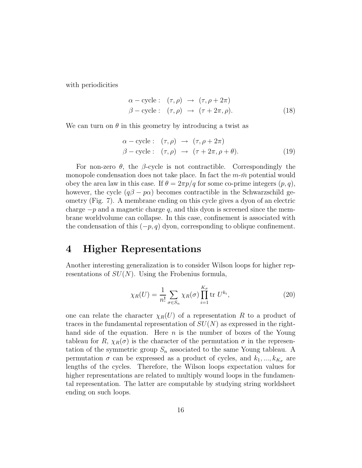<span id="page-16-0"></span>with periodicities

$$
\alpha - \text{cycle}: (\tau, \rho) \rightarrow (\tau, \rho + 2\pi) \n\beta - \text{cycle}: (\tau, \rho) \rightarrow (\tau + 2\pi, \rho).
$$
\n(18)

We can turn on  $\theta$  in this geometry by introducing a twist as

$$
\alpha - \text{cycle}: (\tau, \rho) \to (\tau, \rho + 2\pi) \n\beta - \text{cycle}: (\tau, \rho) \to (\tau + 2\pi, \rho + \theta).
$$
\n(19)

For non-zero  $\theta$ , the  $\beta$ -cycle is not contractible. Correspondingly the monopole condensation does not take place. In fact the  $m\text{-}\bar{m}$  potential would obey the area law in this case. If  $\theta = 2\pi p/q$  for some co-prime integers  $(p, q)$ , however, the cycle  $(q\beta - p\alpha)$  becomes contractible in the Schwarzschild geometry (Fig. 7). A membrane ending on this cycle gives a dyon of an electric charge  $-p$  and a magnetic charge q, and this dyon is screened since the membrane worldvolume can collapse. In this case, confinement is associated with the condensation of this  $(-p, q)$  dyon, corresponding to oblique confinement.

### 4 Higher Representations

Another interesting generalization is to consider Wilson loops for higher representations of  $SU(N)$ . Using the Frobenius formula,

$$
\chi_R(U) = \frac{1}{n!} \sum_{\sigma \in S_n} \chi_R(\sigma) \prod_{i=1}^{K_{\sigma}} \text{tr } U^{k_i}, \qquad (20)
$$

one can relate the character  $\chi_R(U)$  of a representation R to a product of traces in the fundamental representation of  $SU(N)$  as expressed in the righthand side of the equation. Here  $n$  is the number of boxes of the Young tableau for R,  $\chi_R(\sigma)$  is the character of the permutation  $\sigma$  in the representation of the symmetric group  $S_n$  associated to the same Young tableau. A permutation  $\sigma$  can be expressed as a product of cycles, and  $k_1, ..., k_{K_{\sigma}}$  are lengths of the cycles. Therefore, the Wilson loops expectation values for higher representations are related to multiply wound loops in the fundamental representation. The latter are computable by studying string worldsheet ending on such loops.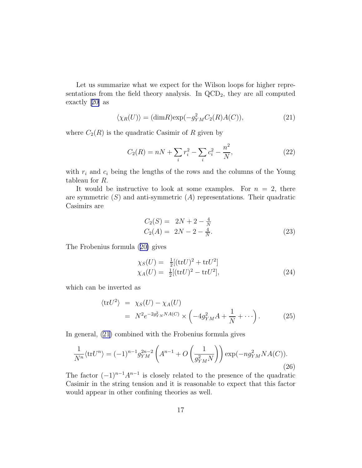<span id="page-17-0"></span>Let us summarize what we expect for the Wilson loops for higher representations from the field theory analysis. In  $\text{QCD}_2$ , they are all computed exactly[[20\]](#page-30-0) as

$$
\langle \chi_R(U) \rangle = (\dim R) \exp(-g_{YM}^2 C_2(R) A(C)), \tag{21}
$$

where  $C_2(R)$  is the quadratic Casimir of R given by

$$
C_2(R) = nN + \sum_i r_i^2 - \sum_i c_i^2 - \frac{n^2}{N},\tag{22}
$$

with  $r_i$  and  $c_i$  being the lengths of the rows and the columns of the Young tableau for R.

It would be instructive to look at some examples. For  $n = 2$ , there are symmetric  $(S)$  and anti-symmetric  $(A)$  representations. Their quadratic Casimirs are

$$
C_2(S) = 2N + 2 - \frac{4}{N}
$$
  
\n
$$
C_2(A) = 2N - 2 - \frac{4}{N}.
$$
\n(23)

The Frobenius formula([20\)](#page-16-0) gives

$$
\chi_S(U) = \frac{1}{2}[(\text{tr}U)^2 + \text{tr}U^2] \chi_A(U) = \frac{1}{2}[(\text{tr}U)^2 - \text{tr}U^2],
$$
\n(24)

which can be inverted as

$$
\langle \text{tr} U^2 \rangle = \chi_S(U) - \chi_A(U)
$$
  
=  $N^2 e^{-2g_{YM}^2 N A(C)} \times \left( -4g_{YM}^2 A + \frac{1}{N} + \cdots \right).$  (25)

In general, (21) combined with the Frobenius formula gives

$$
\frac{1}{N^n} \langle \text{tr} U^n \rangle = (-1)^{n-1} g_{YM}^{2n-2} \left( A^{n-1} + O\left( \frac{1}{g_{YM}^2 N} \right) \right) \exp(-n g_{YM}^2 N A(C)). \tag{26}
$$

The factor  $(-1)^{n-1}A^{n-1}$  is closely related to the presence of the quadratic Casimir in the string tension and it is reasonable to expect that this factor would appear in other confining theories as well.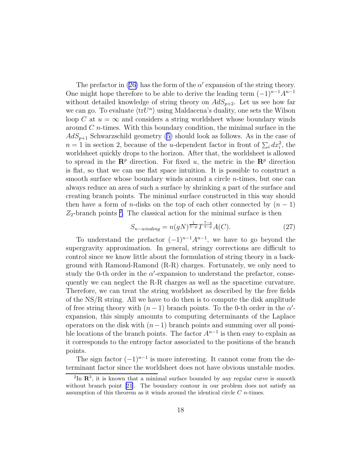The prefactor in  $(26)$  has the form of the  $\alpha'$  expansion of the string theory. One might hope therefore to be able to derive the leading term  $(-1)^{n-1}A^{n-1}$ without detailed knowledge of string theory on  $AdS_{p+2}$ . Let us see how far we can go. To evaluate  $\langle \text{tr} U^n \rangle$  using Maldacena's duality, one sets the Wilson loop C at  $u = \infty$  and considers a string worldsheet whose boundary winds around  $C$  *n*-times. With this boundary condition, the minimal surface in the  $AdS_{p+1}$  Schwarzschild geometry [\(5](#page-6-0)) should look as follows. As in the case of  $n = 1$  in section 2, because of the *u*-dependent factor in front of  $\sum_i dx_i^2$ , the worldsheet quickly drops to the horizon. After that, the worldsheet is allowed to spread in the  $\mathbb{R}^p$  direction. For fixed u, the metric in the  $\mathbb{R}^p$  direction is flat, so that we can use flat space intuition. It is possible to construct a smooth surface whose boundary winds around a circle n-times, but one can always reduce an area of such a surface by shrinking a part of the surface and creating branch points. The minimal surface constructed in this way should then have a form of *n*-disks on the top of each other connected by  $(n - 1)$  $Z_2$ -branch points<sup>2</sup>. The classical action for the minimal surface is then

$$
S_{n-winding} = n(gN)^{\frac{1}{5-p}} T^{\frac{7-p}{5-p}} A(C).
$$
 (27)

To understand the prefactor  $(-1)^{n-1}A^{n-1}$ , we have to go beyond the supergravity approximation. In general, stringy corrections are difficult to control since we know little about the formulation of string theory in a background with Ramond-Ramond (R-R) charges. Fortunately, we only need to study the 0-th order in the  $\alpha'$ -expansion to understand the prefactor, consequently we can neglect the R-R charges as well as the spacetime curvature. Therefore, we can treat the string worldsheet as described by the free fields of the NS/R string. All we have to do then is to compute the disk amplitude of free string theory with  $(n-1)$  branch points. To the 0-th order in the  $\alpha'$ expansion, this simply amounts to computing determinants of the Laplace operators on the disk with  $(n-1)$  branch points and summing over all possible locations of the branch points. The factor  $A^{n-1}$  is then easy to explain as it corresponds to the entropy factor associated to the positions of the branch points.

The sign factor  $(-1)^{n-1}$  is more interesting. It cannot come from the determinant factor since the worldsheet does not have obvious unstable modes.

 ${}^{2}\text{In}$   $\mathbb{R}^{3}$ , it is known that a minimal surface bounded by any regular curve is smooth withoutbranch point [[21\]](#page-30-0). The boundary contour in our problem does not satisfy an assumption of this theorem as it winds around the identical circle C n-times.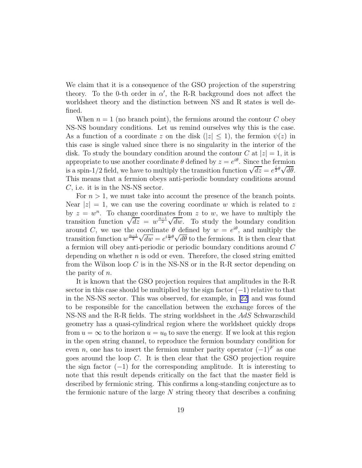We claim that it is a consequence of the GSO projection of the superstring theory. To the 0-th order in  $\alpha'$ , the R-R background does not affect the worldsheet theory and the distinction between NS and R states is well defined.

When  $n = 1$  (no branch point), the fermions around the contour C obey NS-NS boundary conditions. Let us remind ourselves why this is the case. As a function of a coordinate z on the disk  $(|z| \leq 1)$ , the fermion  $\psi(z)$  in this case is single valued since there is no singularity in the interior of the disk. To study the boundary condition around the contour C at  $|z|=1$ , it is appropriate to use another coordinate  $\theta$  defined by  $z = e^{i\theta}$ . Since the fermion is a spin-1/2 field, we have to multiply the transition function  $\sqrt{dz} = e^{\frac{i}{2}\theta}\sqrt{d\theta}$ . This means that a fermion obeys anti-periodic boundary conditions around C, i.e. it is in the NS-NS sector.

For  $n > 1$ , we must take into account the presence of the branch points. Near  $|z|=1$ , we can use the covering coordinate w which is related to z by  $z = w^n$ . To change coordinates from z to w, we have to multiply the transition function  $\sqrt{dz} = w^{\frac{n-1}{2}} \sqrt{dw}$ . To study the boundary condition around C, we use the coordinate  $\theta$  defined by  $w = e^{i\theta}$ , and multiply the transition function  $w^{\frac{n-1}{2}}\sqrt{dw} = e^{i\frac{n}{2}\theta}\sqrt{d\theta}$  to the fermions. It is then clear that a fermion will obey anti-periodic or periodic boundary conditions around C depending on whether  $n$  is odd or even. Therefore, the closed string emitted from the Wilson loop  $C$  is in the NS-NS or in the R-R sector depending on the parity of n.

It is known that the GSO projection requires that amplitudes in the R-R sector in this case should be multiplied by the sign factor  $(-1)$  relative to that in the NS-NS sector. This was observed, for example, in[[22\]](#page-30-0) and was found to be responsible for the cancellation between the exchange forces of the NS-NS and the R-R fields. The string worldsheet in the AdS Schwarzschild geometry has a quasi-cylindrical region where the worldsheet quickly drops from  $u = \infty$  to the horizon  $u = u_0$  to save the energy. If we look at this region in the open string channel, to reproduce the fermion boundary condition for even n, one has to insert the fermion number parity operator  $(-1)^F$  as one goes around the loop C. It is then clear that the GSO projection require the sign factor  $(-1)$  for the corresponding amplitude. It is interesting to note that this result depends critically on the fact that the master field is described by fermionic string. This confirms a long-standing conjecture as to the fermionic nature of the large  $N$  string theory that describes a confining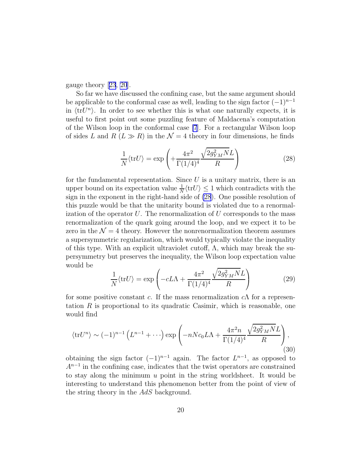gauge theory[[23](#page-30-0), [20](#page-30-0)].

So far we have discussed the confining case, but the same argument should be applicable to the conformal case as well, leading to the sign factor  $(-1)^{n-1}$ in  $\langle trU^n \rangle$ . In order to see whether this is what one naturally expects, it is useful to first point out some puzzling feature of Maldacena's computation of the Wilson loop in the conformal case [\[7](#page-29-0)]. For a rectangular Wilson loop of sides L and R  $(L \gg R)$  in the  $\mathcal{N} = 4$  theory in four dimensions, he finds

$$
\frac{1}{N} \langle \text{tr} U \rangle = \exp\left( + \frac{4\pi^2}{\Gamma(1/4)^4} \frac{\sqrt{2g_{YM}^2 N} L}{R} \right) \tag{28}
$$

for the fundamental representation. Since  $U$  is a unitary matrix, there is an upper bound on its expectation value  $\frac{1}{N} \langle \text{tr} U \rangle \leq 1$  which contradicts with the sign in the exponent in the right-hand side of (28). One possible resolution of this puzzle would be that the unitarity bound is violated due to a renormalization of the operator  $U$ . The renormalization of  $U$  corresponds to the mass renormalization of the quark going around the loop, and we expect it to be zero in the  $\mathcal{N} = 4$  theory. However the nonrenormalization theorem assumes a supersymmetric regularization, which would typically violate the inequality of this type. With an explicit ultraviolet cutoff,  $\Lambda$ , which may break the supersymmetry but preserves the inequality, the Wilson loop expectation value would be

$$
\frac{1}{N} \langle \text{tr} U \rangle = \exp \left( -cL\Lambda + \frac{4\pi^2}{\Gamma(1/4)^4} \frac{\sqrt{2g_{YM}^2 N}L}{R} \right) \tag{29}
$$

for some positive constant c. If the mass renormalization  $c\Lambda$  for a representation  $R$  is proportional to its quadratic Casimir, which is reasonable, one would find

$$
\langle \text{tr} U^n \rangle \sim (-1)^{n-1} \left( L^{n-1} + \cdots \right) \exp \left( -nNc_0 L\Lambda + \frac{4\pi^2 n}{\Gamma(1/4)^4} \frac{\sqrt{2g_{YM}^2 N}L}{R} \right),\tag{30}
$$

obtaining the sign factor  $(-1)^{n-1}$  again. The factor  $L^{n-1}$ , as opposed to  $A^{n-1}$  in the confining case, indicates that the twist operators are constrained to stay along the minimum  $u$  point in the string worldsheet. It would be interesting to understand this phenomenon better from the point of view of the string theory in the AdS background.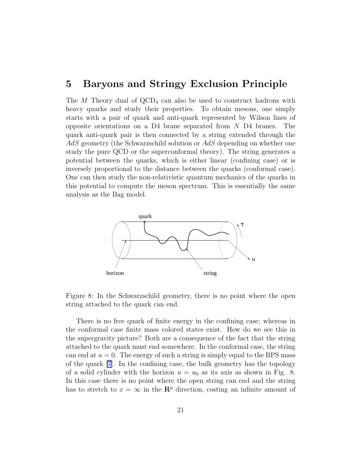#### 5 Baryons and Stringy Exclusion Principle

The M Theory dual of  $\text{QCD}_4$  can also be used to construct hadrons with heavy quarks and study their properties. To obtain mesons, one simply starts with a pair of quark and anti-quark represented by Wilson lines of opposite orientations on a D4 brane separated from N D4 branes. The quark anti-quark pair is then connected by a string extended through the  $AdS$  geometry (the Schwarzschild solution or  $AdS$  depending on whether one study the pure QCD or the superconformal theory). The string generates a potential between the quarks, which is either linear (confining case) or is inversely proportional to the distance between the quarks (conformal case). One can then study the non-relativistic quantum mechanics of the quarks in this potential to compute the meson spectrum. This is essentially the same analysis as the Bag model.



Figure 8: In the Schwarzschild geometry, there is no point where the open string attached to the quark can end.

There is no free quark of finite energy in the confining case; whereas in the conformal case finite mass colored states exist. How do we see this in the supergravity picture? Both are a consequence of the fact that the string attached to the quark must end somewhere. In the conformal case, the string can end at  $u = 0$ . The energy of such a string is simply equal to the BPS mass of the quark [\[7](#page-29-0)]. In the confining case, the bulk geometry has the topology of a solid cylinder with the horizon  $u = u_0$  as its axis as shown in Fig. 8. In this case there is no point where the open string can end and the string has to stretch to  $x = \infty$  in the  $\mathbb{R}^p$  direction, costing an infinite amount of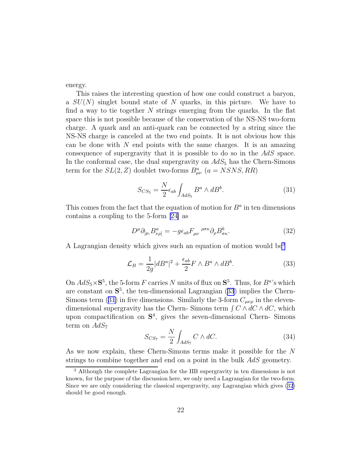<span id="page-22-0"></span>energy.

This raises the interesting question of how one could construct a baryon, a  $SU(N)$  singlet bound state of N quarks, in this picture. We have to find a way to tie together  $N$  strings emerging from the quarks. In the flat space this is not possible because of the conservation of the NS-NS two-form charge. A quark and an anti-quark can be connected by a string since the NS-NS charge is canceled at the two end points. It is not obvious how this can be done with  $N$  end points with the same charges. It is an amazing consequence of supergravity that it is possible to do so in the AdS space. In the conformal case, the dual supergravity on  $AdS_5$  has the Chern-Simons term for the  $SL(2, Z)$  doublet two-forms  $B_{\mu\nu}^a$   $(a = NSNS, RR)$ 

$$
S_{CS_5} = \frac{N}{2} \epsilon_{ab} \int_{AdS_5} B^a \wedge dB^b. \tag{31}
$$

This comes from the fact that the equation of motion for  $B^a$  in ten dimensions contains a coupling to the 5-form [\[24\]](#page-30-0) as

$$
D^{\mu}\partial_{[\mu,}B^a_{\nu\rho]} = -g\epsilon_{ab}F_{\mu\nu}^{\ \ \rho\sigma\kappa}\partial_{\rho}B^b_{\sigma\kappa}.\tag{32}
$$

A Lagrangian density which gives such an equation of motion would be<sup>3</sup>

$$
\mathcal{L}_B = \frac{1}{2g} |dB^a|^2 + \frac{\epsilon_{ab}}{2} F \wedge B^a \wedge dB^b. \tag{33}
$$

On  $AdS_5 \times S^5$ , the 5-form F carries N units of flux on  $S^5$ . Thus, for  $B^a$ 's which are constant on  $S^5$ , the ten-dimensional Lagrangian  $(33)$  implies the Chern-Simons term (31) in five dimensions. Similarly the 3-form  $C_{\mu\nu\rho}$  in the elevendimensional supergravity has the Chern-Simons term  $\int C \wedge dC \wedge dC$ , which upon compactification on  $S<sup>4</sup>$ , gives the seven-dimensional Chern-Simons term on  $AdS_7$ 

$$
S_{CS_7} = \frac{N}{2} \int_{AdS_7} C \wedge dC.
$$
 (34)

As we now explain, these Chern-Simons terms make it possible for the N strings to combine together and end on a point in the bulk AdS geometry.

<sup>3</sup> Although the complete Lagrangian for the IIB supergravity in ten dimensions is not known, for the purpose of the discussion here, we only need a Lagrangian for the two-form. Since we are only considering the classical supergravity, any Lagrangian which gives (32) should be good enough.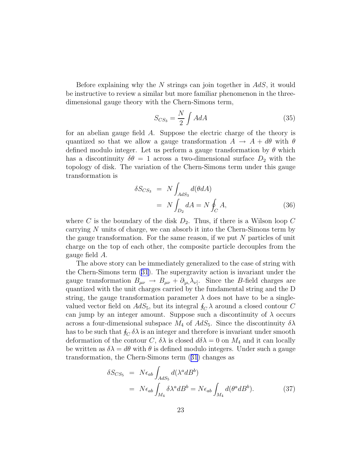Before explaining why the N strings can join together in  $AdS$ , it would be instructive to review a similar but more familiar phenomenon in the threedimensional gauge theory with the Chern-Simons term,

$$
S_{CS_3} = \frac{N}{2} \int A dA \tag{35}
$$

for an abelian gauge field A. Suppose the electric charge of the theory is quantized so that we allow a gauge transformation  $A \rightarrow A + d\theta$  with  $\theta$ defined modulo integer. Let us perform a gauge transformation by  $\theta$  which has a discontinuity  $\delta\theta = 1$  across a two-dimensional surface  $D_2$  with the topology of disk. The variation of the Chern-Simons term under this gauge transformation is

$$
\delta S_{CS_3} = N \int_{AdS_3} d(\theta dA)
$$
  
=  $N \int_{D_2} dA = N \oint_C A,$  (36)

where C is the boundary of the disk  $D_2$ . Thus, if there is a Wilson loop C carrying N units of charge, we can absorb it into the Chern-Simons term by the gauge transformation. For the same reason, if we put  $N$  particles of unit charge on the top of each other, the composite particle decouples from the gauge field A.

The above story can be immediately generalized to the case of string with the Chern-Simons term [\(31\)](#page-22-0). The supergravity action is invariant under the gauge transformation  $B_{\mu\nu} \to B_{\mu\nu} + \partial_{[\mu,\lambda_{\nu}]}$ . Since the B-field charges are quantized with the unit charges carried by the fundamental string and the D string, the gauge transformation parameter  $\lambda$  does not have to be a singlevalued vector field on  $AdS_5$ , but its integral  $\oint_C \lambda$  around a closed contour C can jump by an integer amount. Suppose such a discontinuity of  $\lambda$  occurs across a four-dimensional subspace  $M_4$  of  $AdS_5$ . Since the discontinuity  $\delta\lambda$ has to be such that  $\oint_C \delta \lambda$  is an integer and therefore is invariant under smooth deformation of the contour C,  $\delta\lambda$  is closed  $d\delta\lambda = 0$  on  $M_4$  and it can locally be written as  $\delta \lambda = d\theta$  with  $\theta$  is defined modulo integers. Under such a gauge transformation, the Chern-Simons term([31](#page-22-0)) changes as

$$
\delta S_{CS_5} = N \epsilon_{ab} \int_{AdS_5} d(\lambda^a dB^b)
$$
  
=  $N \epsilon_{ab} \int_{Ma} \delta \lambda^a dB^b = N \epsilon_{ab} \int_{Ma} d(\theta^a dB^b).$  (37)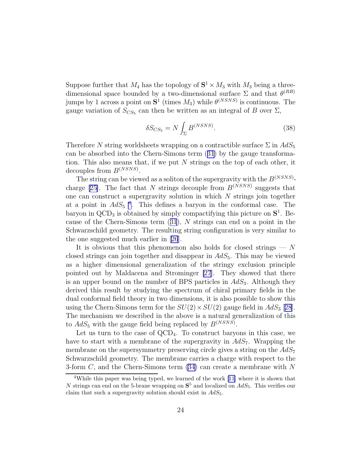Suppose further that  $M_4$  has the topology of  $S^1 \times M_3$  with  $M_3$  being a threedimensional space bounded by a two-dimensional surface  $\Sigma$  and that  $\theta^{(RR)}$ jumps by 1 across a point on  $S^1$  (times  $M_3$ ) while  $\theta^{(NSNS)}$  is continuous. The gauge variation of  $S_{CS_5}$  can then be written as an integral of B over  $\Sigma$ ,

$$
\delta S_{CS_5} = N \int_{\Sigma} B^{(NSNS)}.\tag{38}
$$

Therefore N string worldsheets wrapping on a contractible surface  $\Sigma$  in  $AdS_5$ can be absorbed into the Chern-Simons term([31](#page-22-0)) by the gauge transformation. This also means that, if we put  $N$  strings on the top of each other, it decouples from  $B^{(NSNS)}$ .

The string can be viewed as a soliton of the supergravity with the  $B^{(NSNS)}$ -charge [\[25\]](#page-30-0). The fact that N strings decouple from  $B^{(NSNS)}$  suggests that one can construct a supergravity solution in which  $N$  strings join together at a point in  $AdS_5$ <sup>4</sup>. This defines a baryon in the conformal case. The baryon in  $\text{QCD}_3$  is obtained by simply compactifying this picture on  $\mathbf{S}^1$ . Because of the Chern-Simons term([31](#page-22-0)), N strings can end on a point in the Schwarzschild geometry. The resulting string configuration is very similar to the one suggested much earlier in[[26](#page-30-0)].

It is obvious that this phenomenon also holds for closed strings  $- N$ closed strings can join together and disappear in  $AdS_5$ . This may be viewed as a higher dimensional generalization of the stringy exclusion principle pointed out by Maldacena and Strominger [\[27](#page-30-0)]. They showed that there is an upper bound on the number of BPS particles in  $AdS_3$ . Although they derived this result by studying the spectrum of chiral primary fields in the dual conformal field theory in two dimensions, it is also possible to show this using the Chern-Simons term for the  $SU(2) \times SU(2)$  gauge field in  $AdS_3$  [[28](#page-30-0)]. The mechanism we described in the above is a natural generalization of this to  $AdS_5$  with the gauge field being replaced by  $B^{(NSNS)}$ .

Let us turn to the case of  $\text{QCD}_4$ . To construct baryons in this case, we have to start with a membrane of the supergravity in  $AdS_7$ . Wrapping the membrane on the supersymmetry preserving circle gives a string on the  $AdS_7$ Schwarzschild geometry. The membrane carries a charge with respect to the 3-form  $C$ , and the Chern-Simons term  $(34)$  can create a membrane with N

<sup>&</sup>lt;sup>4</sup>Whilethis paper was being typed, we learned of the work [[11\]](#page-29-0) where it is shown that N strings can end on the 5-brane wrapping on  $S^5$  and localized on  $AdS_5$ . This verifies our claim that such a supergravity solution should exist in  $AdS_5$ .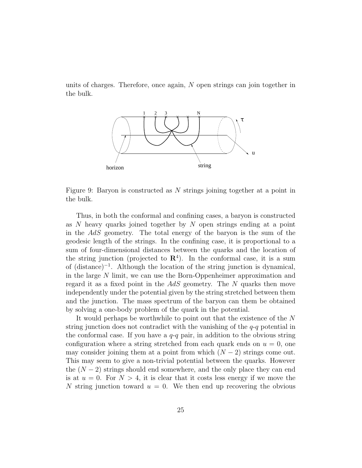units of charges. Therefore, once again, N open strings can join together in the bulk.



Figure 9: Baryon is constructed as N strings joining together at a point in the bulk.

Thus, in both the conformal and confining cases, a baryon is constructed as  $N$  heavy quarks joined together by  $N$  open strings ending at a point in the AdS geometry. The total energy of the baryon is the sum of the geodesic length of the strings. In the confining case, it is proportional to a sum of four-dimensional distances between the quarks and the location of the string junction (projected to  $\mathbb{R}^4$ ). In the conformal case, it is a sum of (distance)<sup>−</sup><sup>1</sup> . Although the location of the string junction is dynamical, in the large N limit, we can use the Born-Oppenheimer approximation and regard it as a fixed point in the AdS geometry. The N quarks then move independently under the potential given by the string stretched between them and the junction. The mass spectrum of the baryon can them be obtained by solving a one-body problem of the quark in the potential.

It would perhaps be worthwhile to point out that the existence of the N string junction does not contradict with the vanishing of the  $q$ -q potential in the conformal case. If you have a  $q-q$  pair, in addition to the obvious string configuration where a string stretched from each quark ends on  $u = 0$ , one may consider joining them at a point from which  $(N-2)$  strings come out. This may seem to give a non-trivial potential between the quarks. However the  $(N-2)$  strings should end somewhere, and the only place they can end is at  $u = 0$ . For  $N > 4$ , it is clear that it costs less energy if we move the N string junction toward  $u = 0$ . We then end up recovering the obvious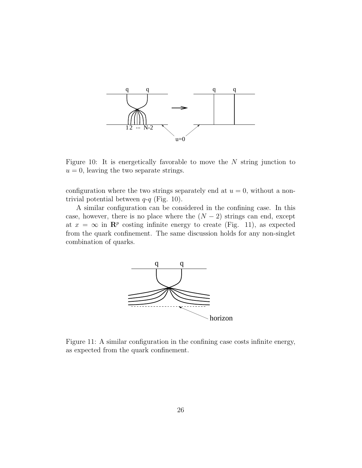

Figure 10: It is energetically favorable to move the  $N$  string junction to  $u = 0$ , leaving the two separate strings.

configuration where the two strings separately end at  $u = 0$ , without a nontrivial potential between  $q-q$  (Fig. 10).

A similar configuration can be considered in the confining case. In this case, however, there is no place where the  $(N-2)$  strings can end, except at  $x = \infty$  in  $\mathbb{R}^p$  costing infinite energy to create (Fig. 11), as expected from the quark confinement. The same discussion holds for any non-singlet combination of quarks.



Figure 11: A similar configuration in the confining case costs infinite energy, as expected from the quark confinement.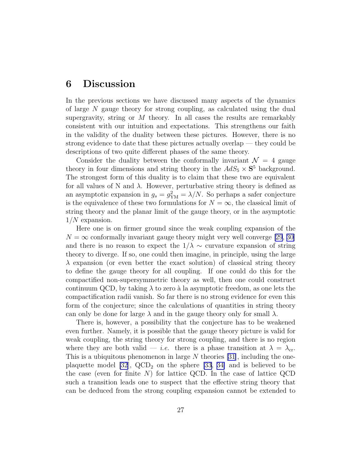#### 6 Discussion

In the previous sections we have discussed many aspects of the dynamics of large N gauge theory for strong coupling, as calculated using the dual supergravity, string or  $M$  theory. In all cases the results are remarkably consistent with our intuition and expectations. This strengthens our faith in the validity of the duality between these pictures. However, there is no strong evidence to date that these pictures actually overlap — they could be descriptions of two quite different phases of the same theory.

Consider the duality between the conformally invariant  $\mathcal{N} = 4$  gauge theory in four dimensions and string theory in the  $AdS_5 \times S^5$  background. The strongest form of this duality is to claim that these two are equivalent for all values of N and  $\lambda$ . However, perturbative string theory is defined as an asymptotic expansion in  $g_s = g_{YM}^2 = \lambda/N$ . So perhaps a safer conjecture is the equivalence of these two formulations for  $N = \infty$ , the classical limit of string theory and the planar limit of the gauge theory, or in the asymptotic  $1/N$  expansion.

Here one is on firmer ground since the weak coupling expansion of the  $N = \infty$  conformally invariant gauge theory might very well converge [\[29](#page-30-0), [30\]](#page-30-0) and there is no reason to expect the  $1/\lambda \sim$  curvature expansion of string theory to diverge. If so, one could then imagine, in principle, using the large  $\lambda$  expansion (or even better the exact solution) of classical string theory to define the gauge theory for all coupling. If one could do this for the compactified non-supersymmetric theory as well, then one could construct continuum QCD, by taking  $\lambda$  to zero à la asymptotic freedom, as one lets the compactification radii vanish. So far there is no strong evidence for even this form of the conjecture; since the calculations of quantities in string theory can only be done for large  $\lambda$  and in the gauge theory only for small  $\lambda$ .

There is, however, a possibility that the conjecture has to be weakened even further. Namely, it is possible that the gauge theory picture is valid for weak coupling, the string theory for strong coupling, and there is no region where they are both valid — *i.e.* there is a phase transition at  $\lambda = \lambda_{cr}$ . This is a ubiquitous phenomenon in large  $N$  theories [\[31](#page-30-0)], including the oneplaquette model  $|32|$ ,  $QCD_2$  on the sphere  $|33, 34|$  and is believed to be the case (even for finite  $N$ ) for lattice QCD. In the case of lattice QCD such a transition leads one to suspect that the effective string theory that can be deduced from the strong coupling expansion cannot be extended to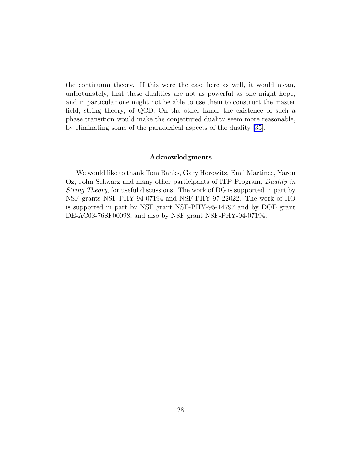the continuum theory. If this were the case here as well, it would mean, unfortunately, that these dualities are not as powerful as one might hope, and in particular one might not be able to use them to construct the master field, string theory, of QCD. On the other hand, the existence of such a phase transition would make the conjectured duality seem more reasonable, by eliminating some of the paradoxical aspects of the duality [\[35\]](#page-30-0).

#### Acknowledgments

We would like to thank Tom Banks, Gary Horowitz, Emil Martinec, Yaron Oz, John Schwarz and many other participants of ITP Program, Duality in *String Theory*, for useful discussions. The work of DG is supported in part by NSF grants NSF-PHY-94-07194 and NSF-PHY-97-22022. The work of HO is supported in part by NSF grant NSF-PHY-95-14797 and by DOE grant DE-AC03-76SF00098, and also by NSF grant NSF-PHY-94-07194.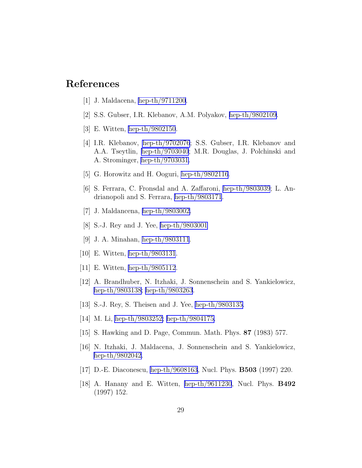# <span id="page-29-0"></span>References

- [1] J. Maldacena, [hep-th/9711200](http://arXiv.org/abs/hep-th/9711200).
- [2] S.S. Gubser, I.R. Klebanov, A.M. Polyakov, [hep-th/9802109.](http://arXiv.org/abs/hep-th/9802109)
- [3] E. Witten, [hep-th/9802150](http://arXiv.org/abs/hep-th/9802150).
- [4] I.R. Klebanov, [hep-th/9702076](http://arXiv.org/abs/hep-th/9702076); S.S. Gubser, I.R. Klebanov and A.A. Tseytlin, [hep-th/9703040](http://arXiv.org/abs/hep-th/9703040); M.R. Douglas, J. Polchinski and A. Strominger, [hep-th/9703031.](http://arXiv.org/abs/hep-th/9703031)
- [5] G. Horowitz and H. Ooguri, [hep-th/9802116](http://arXiv.org/abs/hep-th/9802116).
- [6] S. Ferrara, C. Fronsdal and A. Zaffaroni, [hep-th/9803039](http://arXiv.org/abs/hep-th/9803039); L. Andrianopoli and S. Ferrara, [hep-th/9803171](http://arXiv.org/abs/hep-th/9803171).
- [7] J. Maldancena, [hep-th/9803002.](http://arXiv.org/abs/hep-th/9803002)
- [8] S.-J. Rey and J. Yee, [hep-th/9803001](http://arXiv.org/abs/hep-th/9803001)
- [9] J. A. Minahan, [hep-th/9803111](http://arXiv.org/abs/hep-th/9803111).
- [10] E. Witten, [hep-th/9803131](http://arXiv.org/abs/hep-th/9803131).
- [11] E. Witten, [hep-th/9805112](http://arXiv.org/abs/hep-th/9805112).
- [12] A. Brandhuber, N. Itzhaki, J. Sonnenschein and S. Yankielowicz, [hep-th/9803138](http://arXiv.org/abs/hep-th/9803138); [hep-th/9803263](http://arXiv.org/abs/hep-th/9803263).
- [13] S.-J. Rey, S. Theisen and J. Yee, [hep-th/9803135.](http://arXiv.org/abs/hep-th/9803135)
- [14] M. Li, [hep-th/9803252;](http://arXiv.org/abs/hep-th/9803252) [hep-th/9804175.](http://arXiv.org/abs/hep-th/9804175)
- [15] S. Hawking and D. Page, Commun. Math. Phys. 87 (1983) 577.
- [16] N. Itzhaki, J. Maldacena, J. Sonnenschein and S. Yankielowicz, [hep-th/9802042](http://arXiv.org/abs/hep-th/9802042).
- [17] D.-E. Diaconescu, [hep-th/9608163](http://arXiv.org/abs/hep-th/9608163), Nucl. Phys. B503 (1997) 220.
- [18] A. Hanany and E. Witten, [hep-th/9611230](http://arXiv.org/abs/hep-th/9611230), Nucl. Phys. B492 (1997) 152.